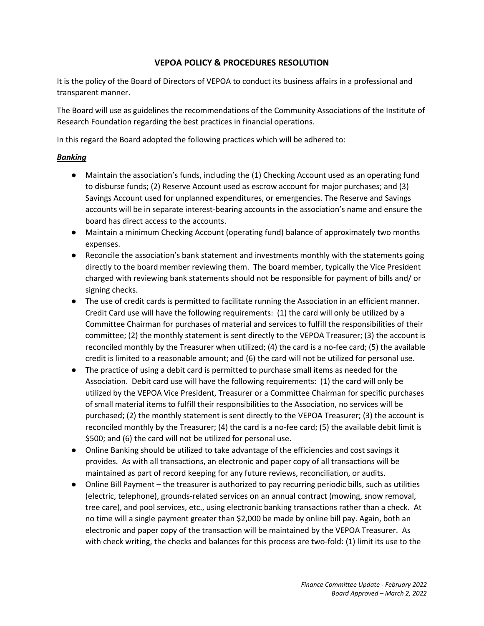# **VEPOA POLICY & PROCEDURES RESOLUTION**

It is the policy of the Board of Directors of VEPOA to conduct its business affairs in a professional and transparent manner.

The Board will use as guidelines the recommendations of the Community Associations of the Institute of Research Foundation regarding the best practices in financial operations.

In this regard the Board adopted the following practices which will be adhered to:

### *Banking*

- Maintain the association's funds, including the (1) Checking Account used as an operating fund to disburse funds; (2) Reserve Account used as escrow account for major purchases; and (3) Savings Account used for unplanned expenditures, or emergencies. The Reserve and Savings accounts will be in separate interest-bearing accounts in the association's name and ensure the board has direct access to the accounts.
- Maintain a minimum Checking Account (operating fund) balance of approximately two months expenses.
- Reconcile the association's bank statement and investments monthly with the statements going directly to the board member reviewing them. The board member, typically the Vice President charged with reviewing bank statements should not be responsible for payment of bills and/ or signing checks.
- The use of credit cards is permitted to facilitate running the Association in an efficient manner. Credit Card use will have the following requirements: (1) the card will only be utilized by a Committee Chairman for purchases of material and services to fulfill the responsibilities of their committee; (2) the monthly statement is sent directly to the VEPOA Treasurer; (3) the account is reconciled monthly by the Treasurer when utilized; (4) the card is a no-fee card; (5) the available credit is limited to a reasonable amount; and (6) the card will not be utilized for personal use.
- The practice of using a debit card is permitted to purchase small items as needed for the Association. Debit card use will have the following requirements: (1) the card will only be utilized by the VEPOA Vice President, Treasurer or a Committee Chairman for specific purchases of small material items to fulfill their responsibilities to the Association, no services will be purchased; (2) the monthly statement is sent directly to the VEPOA Treasurer; (3) the account is reconciled monthly by the Treasurer; (4) the card is a no-fee card; (5) the available debit limit is \$500; and (6) the card will not be utilized for personal use.
- Online Banking should be utilized to take advantage of the efficiencies and cost savings it provides. As with all transactions, an electronic and paper copy of all transactions will be maintained as part of record keeping for any future reviews, reconciliation, or audits.
- Online Bill Payment the treasurer is authorized to pay recurring periodic bills, such as utilities (electric, telephone), grounds-related services on an annual contract (mowing, snow removal, tree care), and pool services, etc., using electronic banking transactions rather than a check. At no time will a single payment greater than \$2,000 be made by online bill pay. Again, both an electronic and paper copy of the transaction will be maintained by the VEPOA Treasurer. As with check writing, the checks and balances for this process are two-fold: (1) limit its use to the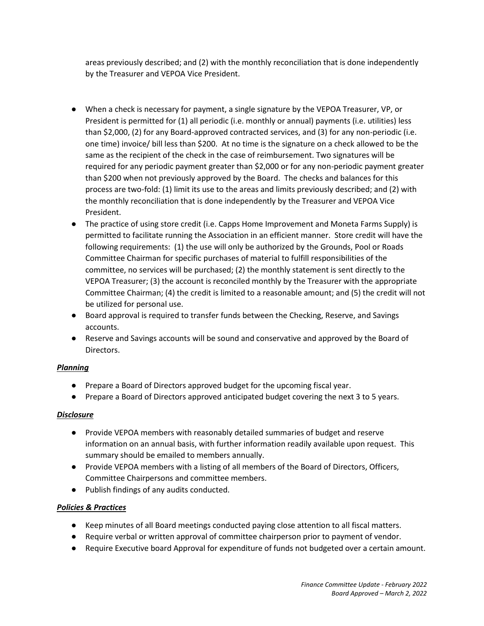areas previously described; and (2) with the monthly reconciliation that is done independently by the Treasurer and VEPOA Vice President.

- When a check is necessary for payment, a single signature by the VEPOA Treasurer, VP, or President is permitted for (1) all periodic (i.e. monthly or annual) payments (i.e. utilities) less than \$2,000, (2) for any Board-approved contracted services, and (3) for any non-periodic (i.e. one time) invoice/ bill less than \$200. At no time is the signature on a check allowed to be the same as the recipient of the check in the case of reimbursement. Two signatures will be required for any periodic payment greater than \$2,000 or for any non-periodic payment greater than \$200 when not previously approved by the Board. The checks and balances for this process are two-fold: (1) limit its use to the areas and limits previously described; and (2) with the monthly reconciliation that is done independently by the Treasurer and VEPOA Vice President.
- The practice of using store credit (i.e. Capps Home Improvement and Moneta Farms Supply) is permitted to facilitate running the Association in an efficient manner. Store credit will have the following requirements: (1) the use will only be authorized by the Grounds, Pool or Roads Committee Chairman for specific purchases of material to fulfill responsibilities of the committee, no services will be purchased; (2) the monthly statement is sent directly to the VEPOA Treasurer; (3) the account is reconciled monthly by the Treasurer with the appropriate Committee Chairman; (4) the credit is limited to a reasonable amount; and (5) the credit will not be utilized for personal use.
- Board approval is required to transfer funds between the Checking, Reserve, and Savings accounts.
- Reserve and Savings accounts will be sound and conservative and approved by the Board of Directors.

## *Planning*

- Prepare a Board of Directors approved budget for the upcoming fiscal year.
- Prepare a Board of Directors approved anticipated budget covering the next 3 to 5 years.

## *Disclosure*

- Provide VEPOA members with reasonably detailed summaries of budget and reserve information on an annual basis, with further information readily available upon request. This summary should be emailed to members annually.
- Provide VEPOA members with a listing of all members of the Board of Directors, Officers, Committee Chairpersons and committee members.
- Publish findings of any audits conducted.

## *Policies & Practices*

- Keep minutes of all Board meetings conducted paying close attention to all fiscal matters.
- Require verbal or written approval of committee chairperson prior to payment of vendor.
- Require Executive board Approval for expenditure of funds not budgeted over a certain amount.